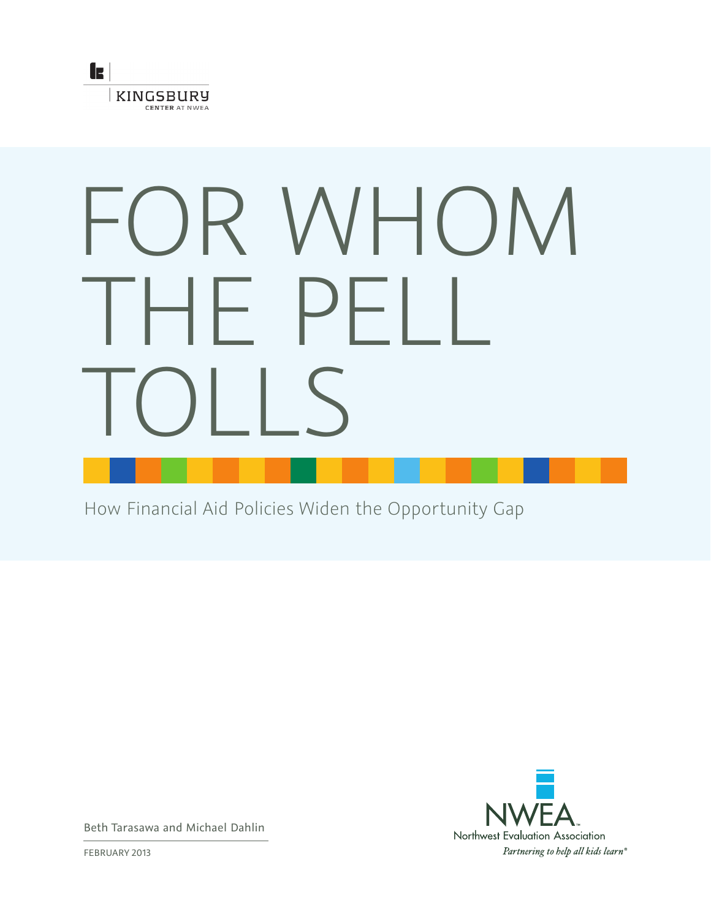

# FOR WHOM HE PE TOLLS

How Financial Aid Policies Widen the Opportunity Gap



Beth Tarasawa and Michael Dahlin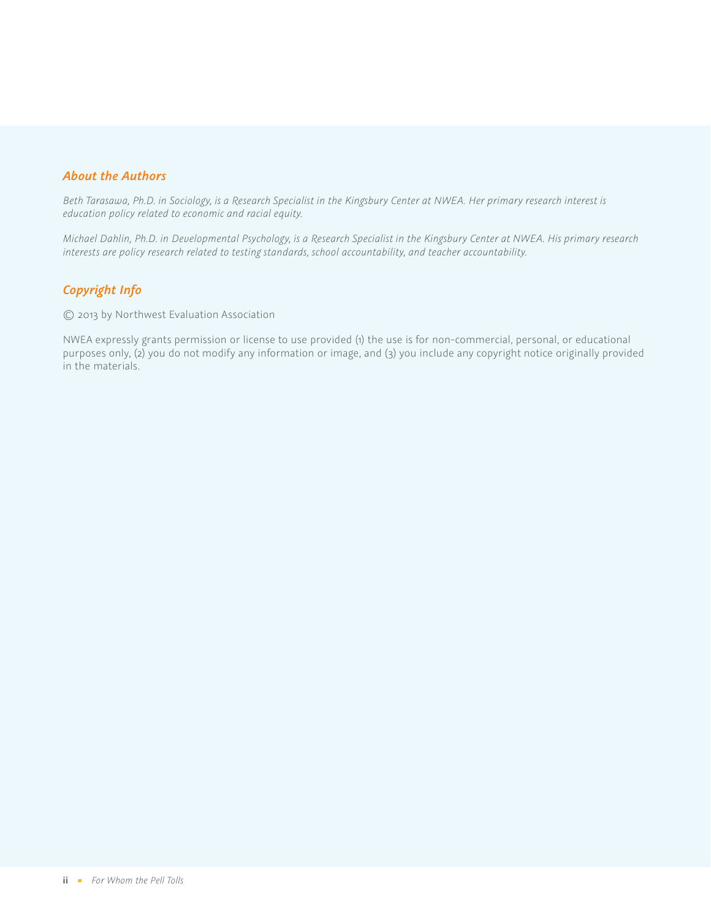### *About the Authors*

*Beth Tarasawa, Ph.D. in Sociology, is a Research Specialist in the Kingsbury Center at NWEA. Her primary research interest is education policy related to economic and racial equity.* 

*Michael Dahlin, Ph.D. in Developmental Psychology, is a Research Specialist in the Kingsbury Center at NWEA. His primary research interests are policy research related to testing standards, school accountability, and teacher accountability.*

### *Copyright Info*

© 2013 by Northwest Evaluation Association

NWEA expressly grants permission or license to use provided (1) the use is for non-commercial, personal, or educational purposes only, (2) you do not modify any information or image, and (3) you include any copyright notice originally provided in the materials.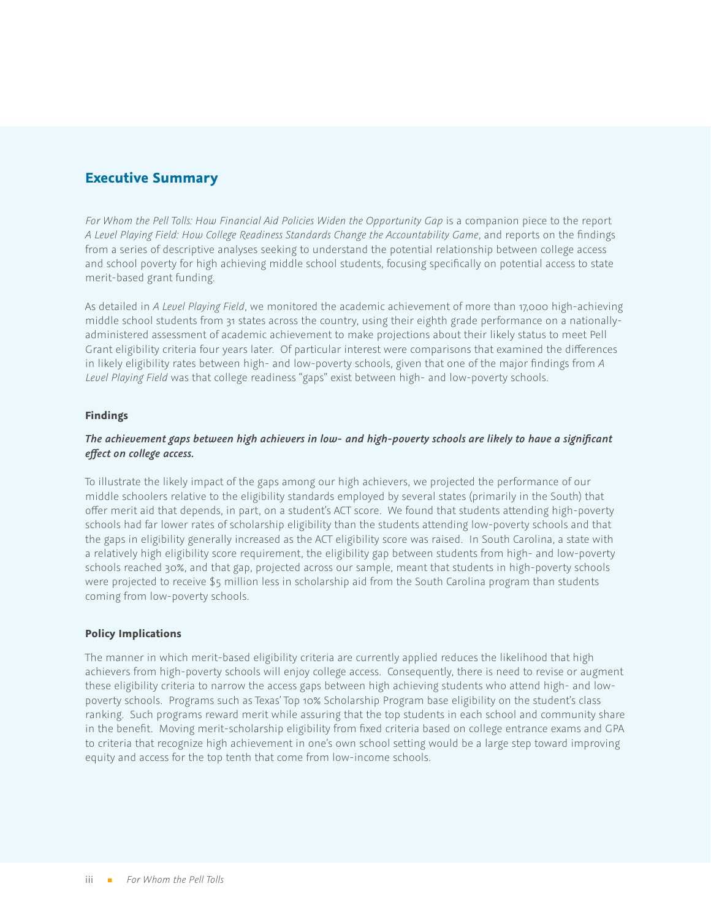### **Executive Summary**

*For Whom the Pell Tolls: How Financial Aid Policies Widen the Opportunity Gap* is a companion piece to the report *A Level Playing Field: How College Readiness Standards Change the Accountability Game*, and reports on the findings from a series of descriptive analyses seeking to understand the potential relationship between college access and school poverty for high achieving middle school students, focusing specifically on potential access to state merit-based grant funding.

As detailed in *A Level Playing Field*, we monitored the academic achievement of more than 17,000 high-achieving middle school students from 31 states across the country, using their eighth grade performance on a nationallyadministered assessment of academic achievement to make projections about their likely status to meet Pell Grant eligibility criteria four years later. Of particular interest were comparisons that examined the differences in likely eligibility rates between high- and low-poverty schools, given that one of the major findings from *A Level Playing Field* was that college readiness "gaps" exist between high- and low-poverty schools.

### **Findings**

### *The achievement gaps between high achievers in low- and high-poverty schools are likely to have a significant effect on college access.*

To illustrate the likely impact of the gaps among our high achievers, we projected the performance of our middle schoolers relative to the eligibility standards employed by several states (primarily in the South) that offer merit aid that depends, in part, on a student's ACT score. We found that students attending high-poverty schools had far lower rates of scholarship eligibility than the students attending low-poverty schools and that the gaps in eligibility generally increased as the ACT eligibility score was raised. In South Carolina, a state with a relatively high eligibility score requirement, the eligibility gap between students from high- and low-poverty schools reached 30%, and that gap, projected across our sample, meant that students in high-poverty schools were projected to receive \$5 million less in scholarship aid from the South Carolina program than students coming from low-poverty schools.

### **Policy Implications**

The manner in which merit-based eligibility criteria are currently applied reduces the likelihood that high achievers from high-poverty schools will enjoy college access. Consequently, there is need to revise or augment these eligibility criteria to narrow the access gaps between high achieving students who attend high- and lowpoverty schools. Programs such as Texas' Top 10% Scholarship Program base eligibility on the student's class ranking. Such programs reward merit while assuring that the top students in each school and community share in the benefit. Moving merit-scholarship eligibility from fixed criteria based on college entrance exams and GPA to criteria that recognize high achievement in one's own school setting would be a large step toward improving equity and access for the top tenth that come from low-income schools.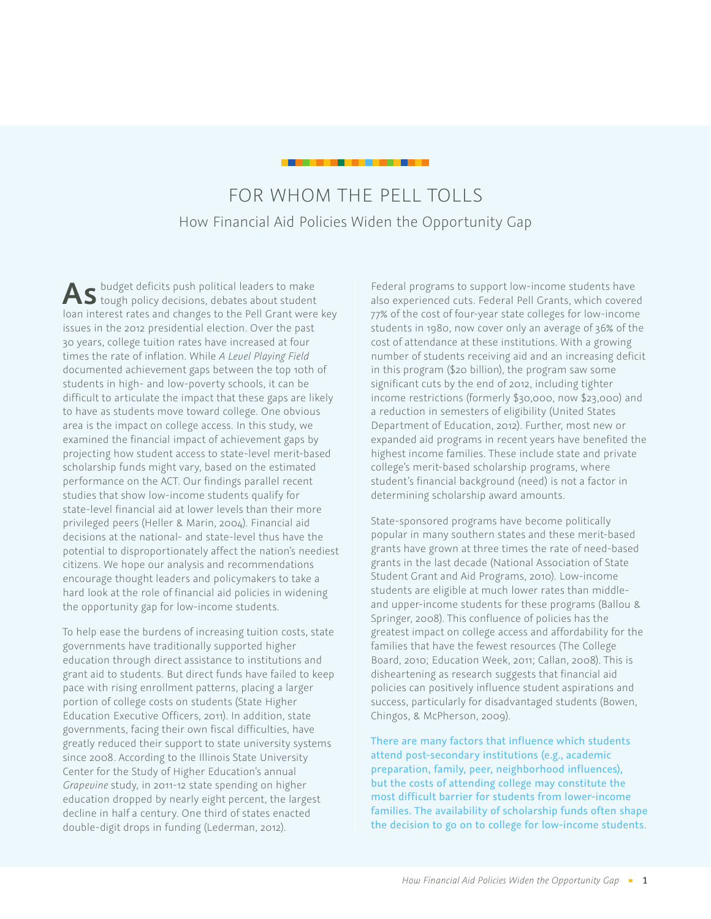# FOR WHOM THE PELL TOLLS How Financial Aid Policies Widen the Opportunity Gap

As budget deficits push political leaders to make<br>tough policy decisions, debates about student loan interest rates and changes to the Pell Grant were key issues in the 2012 presidential election. Over the past 30 years, college tuition rates have increased at four times the rate of inflation. While *A Level Playing Field* documented achievement gaps between the top 10th of students in high- and low-poverty schools, it can be difficult to articulate the impact that these gaps are likely to have as students move toward college. One obvious area is the impact on college access. In this study, we examined the financial impact of achievement gaps by projecting how student access to state-level merit-based scholarship funds might vary, based on the estimated performance on the ACT. Our findings parallel recent studies that show low-income students qualify for state-level financial aid at lower levels than their more privileged peers (Heller & Marin, 2004). Financial aid decisions at the national- and state-level thus have the potential to disproportionately affect the nation's neediest citizens. We hope our analysis and recommendations encourage thought leaders and policymakers to take a hard look at the role of financial aid policies in widening the opportunity gap for low-income students.

To help ease the burdens of increasing tuition costs, state governments have traditionally supported higher education through direct assistance to institutions and grant aid to students. But direct funds have failed to keep pace with rising enrollment patterns, placing a larger portion of college costs on students (State Higher Education Executive Officers, 2011). In addition, state governments, facing their own fiscal difficulties, have greatly reduced their support to state university systems since 2008. According to the Illinois State University Center for the Study of Higher Education's annual *Grapevine* study, in 2011-12 state spending on higher education dropped by nearly eight percent, the largest decline in half a century. One third of states enacted double-digit drops in funding (Lederman, 2012).

Federal programs to support low-income students have also experienced cuts. Federal Pell Grants, which covered 77% of the cost of four-year state colleges for low-income students in 1980, now cover only an average of 36% of the cost of attendance at these institutions. With a growing number of students receiving aid and an increasing deficit in this program (\$20 billion), the program saw some significant cuts by the end of 2012, including tighter income restrictions (formerly \$30,000, now \$23,000) and a reduction in semesters of eligibility (United States Department of Education, 2012). Further, most new or expanded aid programs in recent years have benefited the highest income families. These include state and private college's merit-based scholarship programs, where student's financial background (need) is not a factor in determining scholarship award amounts.

State-sponsored programs have become politically popular in many southern states and these merit-based grants have grown at three times the rate of need-based grants in the last decade (National Association of State Student Grant and Aid Programs, 2010). Low-income students are eligible at much lower rates than middleand upper-income students for these programs (Ballou & Springer, 2008). This confluence of policies has the greatest impact on college access and affordability for the families that have the fewest resources (The College Board, 2010; Education Week, 2011; Callan, 2008). This is disheartening as research suggests that financial aid policies can positively influence student aspirations and success, particularly for disadvantaged students (Bowen, Chingos, & McPherson, 2009).

There are many factors that influence which students attend post-secondary institutions (e.g., academic preparation, family, peer, neighborhood influences), but the costs of attending college may constitute the most difficult barrier for students from lower-income families. The availability of scholarship funds often shape the decision to go on to college for low-income students.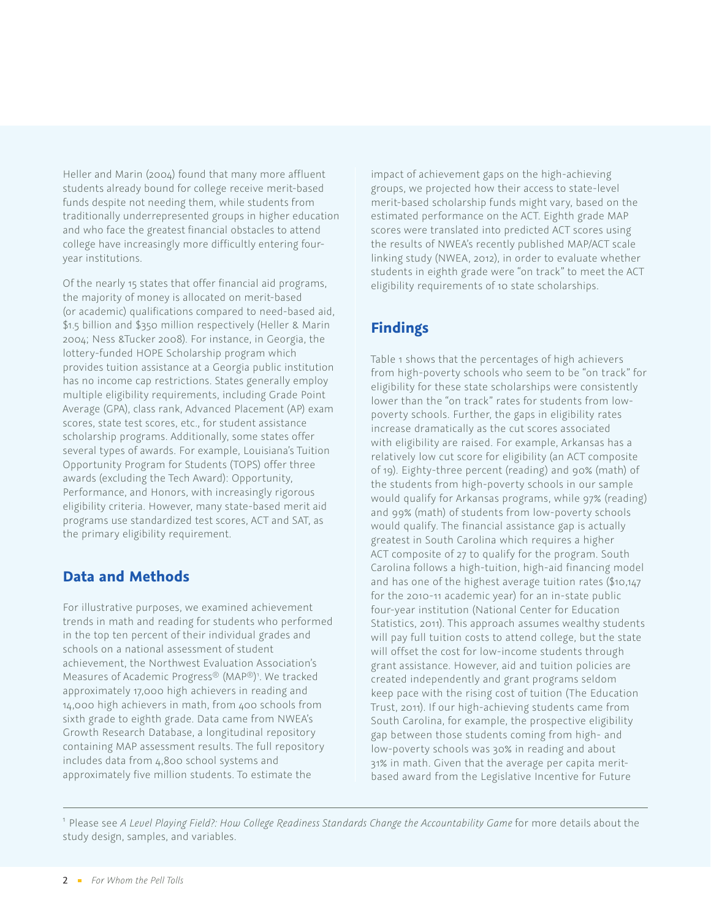Heller and Marin (2004) found that many more affluent students already bound for college receive merit-based funds despite not needing them, while students from traditionally underrepresented groups in higher education and who face the greatest financial obstacles to attend college have increasingly more difficultly entering fouryear institutions.

Of the nearly 15 states that offer financial aid programs, the majority of money is allocated on merit-based (or academic) qualifications compared to need-based aid, \$1.5 billion and \$350 million respectively (Heller & Marin 2004; Ness &Tucker 2008). For instance, in Georgia, the lottery-funded HOPE Scholarship program which provides tuition assistance at a Georgia public institution has no income cap restrictions. States generally employ multiple eligibility requirements, including Grade Point Average (GPA), class rank, Advanced Placement (AP) exam scores, state test scores, etc., for student assistance scholarship programs. Additionally, some states offer several types of awards. For example, Louisiana's Tuition Opportunity Program for Students (TOPS) offer three awards (excluding the Tech Award): Opportunity, Performance, and Honors, with increasingly rigorous eligibility criteria. However, many state-based merit aid programs use standardized test scores, ACT and SAT, as the primary eligibility requirement.

# **Data and Methods**

For illustrative purposes, we examined achievement trends in math and reading for students who performed in the top ten percent of their individual grades and schools on a national assessment of student achievement, the Northwest Evaluation Association's Measures of Academic Progress® (MAP®) 1 . We tracked approximately 17,000 high achievers in reading and 14,000 high achievers in math, from 400 schools from sixth grade to eighth grade. Data came from NWEA's Growth Research Database, a longitudinal repository containing MAP assessment results. The full repository includes data from 4,800 school systems and approximately five million students. To estimate the

impact of achievement gaps on the high-achieving groups, we projected how their access to state-level merit-based scholarship funds might vary, based on the estimated performance on the ACT. Eighth grade MAP scores were translated into predicted ACT scores using the results of NWEA's recently published MAP/ACT scale linking study (NWEA, 2012), in order to evaluate whether students in eighth grade were "on track" to meet the ACT eligibility requirements of 10 state scholarships.

# **Findings**

Table 1 shows that the percentages of high achievers from high-poverty schools who seem to be "on track" for eligibility for these state scholarships were consistently lower than the "on track" rates for students from lowpoverty schools. Further, the gaps in eligibility rates increase dramatically as the cut scores associated with eligibility are raised. For example, Arkansas has a relatively low cut score for eligibility (an ACT composite of 19). Eighty-three percent (reading) and 90% (math) of the students from high-poverty schools in our sample would qualify for Arkansas programs, while 97% (reading) and 99% (math) of students from low-poverty schools would qualify. The financial assistance gap is actually greatest in South Carolina which requires a higher ACT composite of 27 to qualify for the program. South Carolina follows a high-tuition, high-aid financing model and has one of the highest average tuition rates (\$10,147 for the 2010-11 academic year) for an in-state public four-year institution (National Center for Education Statistics, 2011). This approach assumes wealthy students will pay full tuition costs to attend college, but the state will offset the cost for low-income students through grant assistance. However, aid and tuition policies are created independently and grant programs seldom keep pace with the rising cost of tuition (The Education Trust, 2011). If our high-achieving students came from South Carolina, for example, the prospective eligibility gap between those students coming from high- and low-poverty schools was 30% in reading and about 31% in math. Given that the average per capita meritbased award from the Legislative Incentive for Future

<sup>1</sup> Please see *A Level Playing Field?: How College Readiness Standards Change the Accountability Game* for more details about the study design, samples, and variables.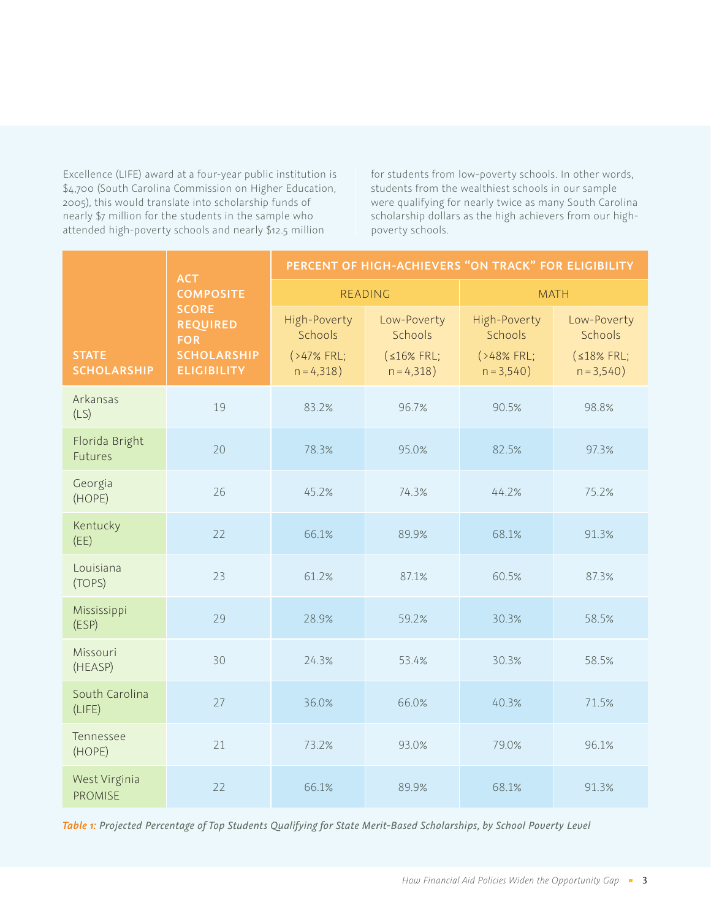Excellence (LIFE) award at a four-year public institution is \$4,700 (South Carolina Commission on Higher Education, 2005), this would translate into scholarship funds of nearly \$7 million for the students in the sample who attended high-poverty schools and nearly \$12.5 million

for students from low-poverty schools. In other words, students from the wealthiest schools in our sample were qualifying for nearly twice as many South Carolina scholarship dollars as the high achievers from our highpoverty schools.

| <b>STATE</b><br><b>SCHOLARSHIP</b> | <b>ACT</b><br><b>COMPOSITE</b><br><b>SCORE</b><br><b>REQUIRED</b><br><b>FOR</b><br><b>SCHOLARSHIP</b><br><b>ELIGIBILITY</b> | PERCENT OF HIGH-ACHIEVERS "ON TRACK" FOR ELIGIBILITY |                                                     |                                                      |                                                     |
|------------------------------------|-----------------------------------------------------------------------------------------------------------------------------|------------------------------------------------------|-----------------------------------------------------|------------------------------------------------------|-----------------------------------------------------|
|                                    |                                                                                                                             | READING                                              |                                                     | <b>MATH</b>                                          |                                                     |
|                                    |                                                                                                                             | High-Poverty<br>Schools<br>(>47% FRL;<br>$n = 4,318$ | Low-Poverty<br>Schools<br>(s16% FRL;<br>$n = 4,318$ | High-Poverty<br>Schools<br>(>48% FRL;<br>$n = 3,540$ | Low-Poverty<br>Schools<br>(s18% FRL;<br>$n = 3,540$ |
| Arkansas<br>(LS)                   | 19                                                                                                                          | 83.2%                                                | 96.7%                                               | 90.5%                                                | 98.8%                                               |
| Florida Bright<br><b>Futures</b>   | 20                                                                                                                          | 78.3%                                                | 95.0%                                               | 82.5%                                                | 97.3%                                               |
| Georgia<br>(HOPE)                  | 26                                                                                                                          | 45.2%                                                | 74.3%                                               | 44.2%                                                | 75.2%                                               |
| Kentucky<br>(EE)                   | 22                                                                                                                          | 66.1%                                                | 89.9%                                               | 68.1%                                                | 91.3%                                               |
| Louisiana<br>(TOPS)                | 23                                                                                                                          | 61.2%                                                | 87.1%                                               | 60.5%                                                | 87.3%                                               |
| Mississippi<br>(ESP)               | 29                                                                                                                          | 28.9%                                                | 59.2%                                               | 30.3%                                                | 58.5%                                               |
| Missouri<br>(HEASP)                | 30                                                                                                                          | 24.3%                                                | 53.4%                                               | 30.3%                                                | 58.5%                                               |
| South Carolina<br>(LIEE)           | 27                                                                                                                          | 36.0%                                                | 66.0%                                               | 40.3%                                                | 71.5%                                               |
| Tennessee<br>(HOPE)                | 21                                                                                                                          | 73.2%                                                | 93.0%                                               | 79.0%                                                | 96.1%                                               |
| West Virginia<br><b>PROMISE</b>    | 22                                                                                                                          | 66.1%                                                | 89.9%                                               | 68.1%                                                | 91.3%                                               |

*Table 1: Projected Percentage of Top Students Qualifying for State Merit-Based Scholarships, by School Poverty Level*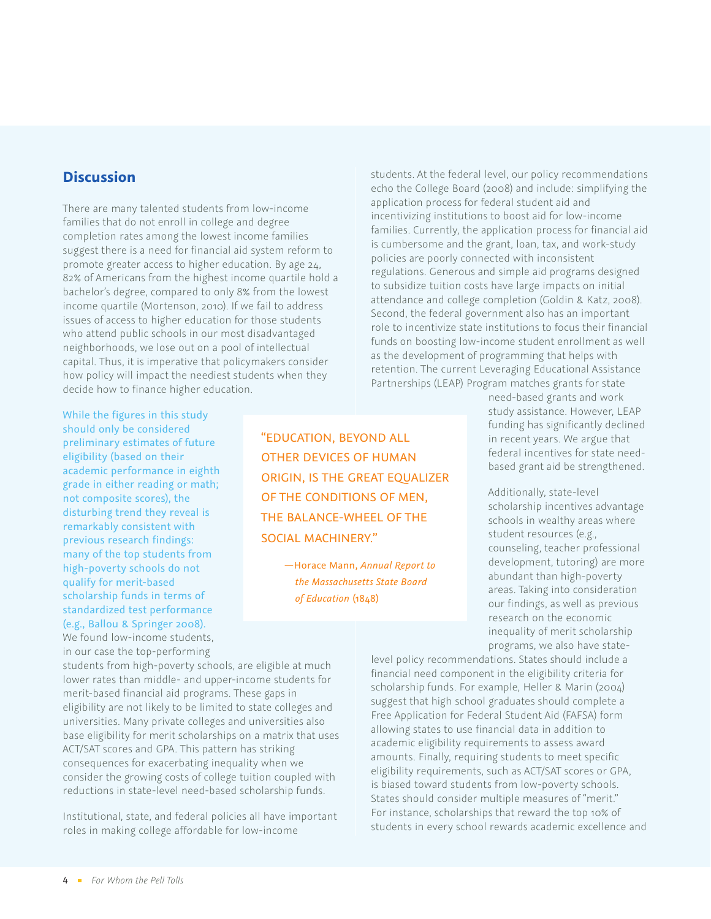# **Discussion**

There are many talented students from low-income families that do not enroll in college and degree completion rates among the lowest income families suggest there is a need for financial aid system reform to promote greater access to higher education. By age 24, 82% of Americans from the highest income quartile hold a bachelor's degree, compared to only 8% from the lowest income quartile (Mortenson, 2010). If we fail to address issues of access to higher education for those students who attend public schools in our most disadvantaged neighborhoods, we lose out on a pool of intellectual capital. Thus, it is imperative that policymakers consider how policy will impact the neediest students when they decide how to finance higher education.

While the figures in this study should only be considered preliminary estimates of future eligibility (based on their academic performance in eighth grade in either reading or math; not composite scores), the disturbing trend they reveal is remarkably consistent with previous research findings: many of the top students from high-poverty schools do not qualify for merit-based scholarship funds in terms of standardized test performance (e.g., Ballou & Springer 2008).

We found low-income students, in our case the top-performing

"Education, beyond all other devices of human origin, is the great equalizer of the conditions of men, the balance-wheel of the social machinery."

> —Horace Mann, *Annual Report to the Massachusetts State Board of Education* (1848)

students. At the federal level, our policy recommendations echo the College Board (2008) and include: simplifying the application process for federal student aid and incentivizing institutions to boost aid for low-income families. Currently, the application process for financial aid is cumbersome and the grant, loan, tax, and work-study policies are poorly connected with inconsistent regulations. Generous and simple aid programs designed to subsidize tuition costs have large impacts on initial attendance and college completion (Goldin & Katz, 2008). Second, the federal government also has an important role to incentivize state institutions to focus their financial funds on boosting low-income student enrollment as well as the development of programming that helps with retention. The current Leveraging Educational Assistance Partnerships (LEAP) Program matches grants for state

> need-based grants and work study assistance. However, LEAP funding has significantly declined in recent years. We argue that federal incentives for state needbased grant aid be strengthened.

> Additionally, state-level scholarship incentives advantage schools in wealthy areas where student resources (e.g., counseling, teacher professional development, tutoring) are more abundant than high-poverty areas. Taking into consideration our findings, as well as previous research on the economic inequality of merit scholarship programs, we also have state-

students from high-poverty schools, are eligible at much lower rates than middle- and upper-income students for merit-based financial aid programs. These gaps in eligibility are not likely to be limited to state colleges and universities. Many private colleges and universities also base eligibility for merit scholarships on a matrix that uses ACT/SAT scores and GPA. This pattern has striking consequences for exacerbating inequality when we consider the growing costs of college tuition coupled with reductions in state-level need-based scholarship funds.

Institutional, state, and federal policies all have important roles in making college affordable for low-income

level policy recommendations. States should include a financial need component in the eligibility criteria for scholarship funds. For example, Heller & Marin (2004) suggest that high school graduates should complete a Free Application for Federal Student Aid (FAFSA) form allowing states to use financial data in addition to academic eligibility requirements to assess award amounts. Finally, requiring students to meet specific eligibility requirements, such as ACT/SAT scores or GPA, is biased toward students from low-poverty schools. States should consider multiple measures of "merit." For instance, scholarships that reward the top 10% of students in every school rewards academic excellence and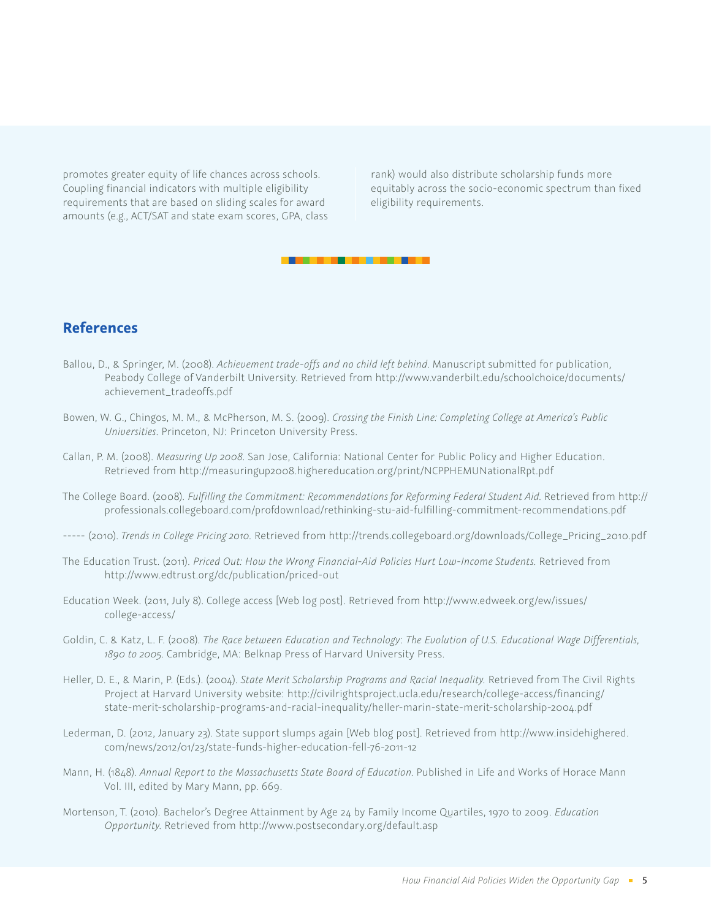promotes greater equity of life chances across schools. Coupling financial indicators with multiple eligibility requirements that are based on sliding scales for award amounts (e.g., ACT/SAT and state exam scores, GPA, class rank) would also distribute scholarship funds more equitably across the socio-economic spectrum than fixed eligibility requirements.



## **References**

- Ballou, D., & Springer, M. (2008). *Achievement trade-offs and no child left behind*. Manuscript submitted for publication, Peabody College of Vanderbilt University. Retrieved from http://www.vanderbilt.edu/schoolchoice/documents/ achievement\_tradeoffs.pdf
- Bowen, W. G., Chingos, M. M., & McPherson, M. S. (2009). *Crossing the Finish Line: Completing College at America's Public Universities*. Princeton, NJ: Princeton University Press.
- Callan, P. M. (2008). *Measuring Up 2008.* San Jose, California: National Center for Public Policy and Higher Education. Retrieved from http://measuringup2008.highereducation.org/print/NCPPHEMUNationalRpt.pdf
- The College Board. (2008). *Fulfilling the Commitment: Recommendations for Reforming Federal Student Aid*. Retrieved from http:// professionals.collegeboard.com/profdownload/rethinking-stu-aid-fulfilling-commitment-recommendations.pdf
- ----- (2010). *Trends in College Pricing 2010*. Retrieved from http://trends.collegeboard.org/downloads/College\_Pricing\_2010.pdf
- The Education Trust. (2011). *Priced Out: How the Wrong Financial-Aid Policies Hurt Low-Income Students*. Retrieved from http://www.edtrust.org/dc/publication/priced-out
- Education Week. (2011, July 8). College access [Web log post]. Retrieved from http://www.edweek.org/ew/issues/ college-access/
- Goldin, C. & Katz, L. F. (2008). *The Race between Education and Technology*: *The Evolution of U.S. Educational Wage Differentials, 1890 to 2005.* Cambridge, MA: Belknap Press of Harvard University Press.
- Heller, D. E., & Marin, P. (Eds.). (2004). *State Merit Scholarship Programs and Racial Inequality*. Retrieved from The Civil Rights Project at Harvard University website: http://civilrightsproject.ucla.edu/research/college-access/financing/ state-merit-scholarship-programs-and-racial-inequality/heller-marin-state-merit-scholarship-2004.pdf
- Lederman, D. (2012, January 23). State support slumps again [Web blog post]. Retrieved from http://www.insidehighered. com/news/2012/01/23/state-funds-higher-education-fell-76-2011-12
- Mann, H. (1848). Annual Report to the Massachusetts State Board of Education. Published in Life and Works of Horace Mann Vol. III, edited by Mary Mann, pp. 669.
- Mortenson, T. (2010). Bachelor's Degree Attainment by Age 24 by Family Income Quartiles, 1970 to 2009. *Education Opportunity.* Retrieved from http://www.postsecondary.org/default.asp